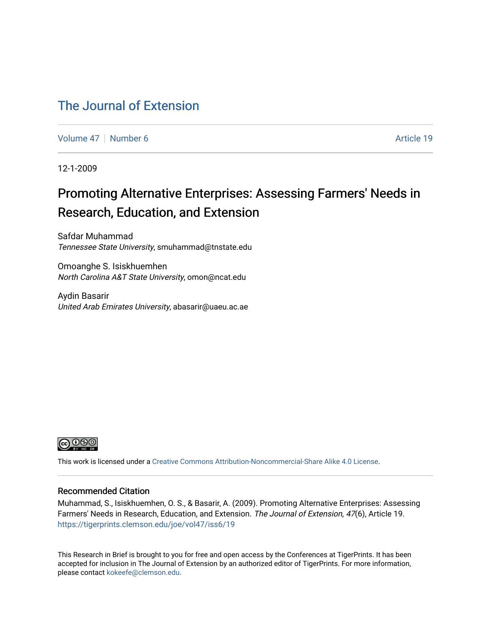### [The Journal of Extension](https://tigerprints.clemson.edu/joe)

[Volume 47](https://tigerprints.clemson.edu/joe/vol47) | [Number 6](https://tigerprints.clemson.edu/joe/vol47/iss6) Article 19

12-1-2009

## Promoting Alternative Enterprises: Assessing Farmers' Needs in Research, Education, and Extension

Safdar Muhammad Tennessee State University, smuhammad@tnstate.edu

Omoanghe S. Isiskhuemhen North Carolina A&T State University, omon@ncat.edu

Aydin Basarir United Arab Emirates University, abasarir@uaeu.ac.ae



This work is licensed under a [Creative Commons Attribution-Noncommercial-Share Alike 4.0 License.](https://creativecommons.org/licenses/by-nc-sa/4.0/)

#### Recommended Citation

Muhammad, S., Isiskhuemhen, O. S., & Basarir, A. (2009). Promoting Alternative Enterprises: Assessing Farmers' Needs in Research, Education, and Extension. The Journal of Extension, 47(6), Article 19. <https://tigerprints.clemson.edu/joe/vol47/iss6/19>

This Research in Brief is brought to you for free and open access by the Conferences at TigerPrints. It has been accepted for inclusion in The Journal of Extension by an authorized editor of TigerPrints. For more information, please contact [kokeefe@clemson.edu](mailto:kokeefe@clemson.edu).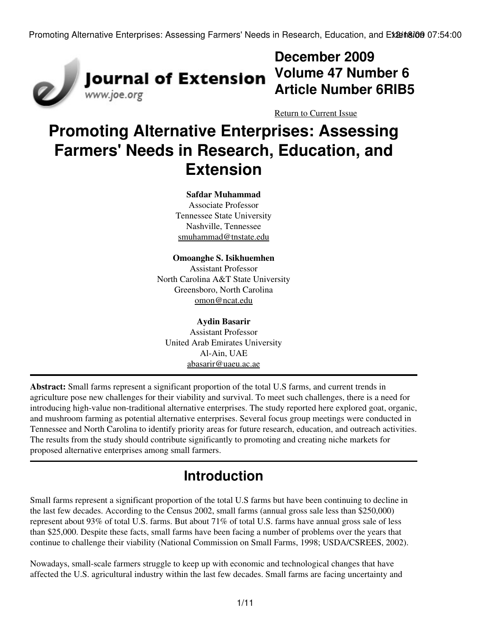

## **December 2009 Volume 47 Number 6 Article Number 6RIB5**

[Return to Current Issue](http://www.joe.org:80/joe/2009december/)

# **Promoting Alternative Enterprises: Assessing Farmers' Needs in Research, Education, and Extension**

#### **Safdar Muhammad**

Associate Professor Tennessee State University Nashville, Tennessee [smuhammad@tnstate.edu](mailto:smuhammad@tnstate.edu)

**Omoanghe S. Isikhuemhen** Assistant Professor North Carolina A&T State University Greensboro, North Carolina [omon@ncat.edu](mailto:omon@ncat.edu)

**Aydin Basarir** Assistant Professor United Arab Emirates University Al-Ain, UAE [abasarir@uaeu.ac.ae](mailto:abasarir@uaeu.ac.ae)

**Abstract:** Small farms represent a significant proportion of the total U.S farms, and current trends in agriculture pose new challenges for their viability and survival. To meet such challenges, there is a need for introducing high-value non-traditional alternative enterprises. The study reported here explored goat, organic, and mushroom farming as potential alternative enterprises. Several focus group meetings were conducted in Tennessee and North Carolina to identify priority areas for future research, education, and outreach activities. The results from the study should contribute significantly to promoting and creating niche markets for proposed alternative enterprises among small farmers.

## **Introduction**

Small farms represent a significant proportion of the total U.S farms but have been continuing to decline in the last few decades. According to the Census 2002, small farms (annual gross sale less than \$250,000) represent about 93% of total U.S. farms. But about 71% of total U.S. farms have annual gross sale of less than \$25,000. Despite these facts, small farms have been facing a number of problems over the years that continue to challenge their viability (National Commission on Small Farms, 1998; USDA/CSREES, 2002).

Nowadays, small-scale farmers struggle to keep up with economic and technological changes that have affected the U.S. agricultural industry within the last few decades. Small farms are facing uncertainty and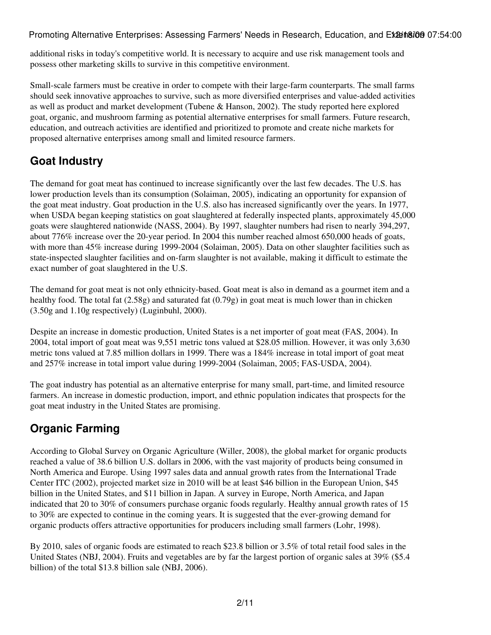additional risks in today's competitive world. It is necessary to acquire and use risk management tools and possess other marketing skills to survive in this competitive environment.

Small-scale farmers must be creative in order to compete with their large-farm counterparts. The small farms should seek innovative approaches to survive, such as more diversified enterprises and value-added activities as well as product and market development (Tubene & Hanson, 2002). The study reported here explored goat, organic, and mushroom farming as potential alternative enterprises for small farmers. Future research, education, and outreach activities are identified and prioritized to promote and create niche markets for proposed alternative enterprises among small and limited resource farmers.

### **Goat Industry**

The demand for goat meat has continued to increase significantly over the last few decades. The U.S. has lower production levels than its consumption (Solaiman, 2005), indicating an opportunity for expansion of the goat meat industry. Goat production in the U.S. also has increased significantly over the years. In 1977, when USDA began keeping statistics on goat slaughtered at federally inspected plants, approximately 45,000 goats were slaughtered nationwide (NASS, 2004). By 1997, slaughter numbers had risen to nearly 394,297, about 776% increase over the 20-year period. In 2004 this number reached almost 650,000 heads of goats, with more than 45% increase during 1999-2004 (Solaiman, 2005). Data on other slaughter facilities such as state-inspected slaughter facilities and on-farm slaughter is not available, making it difficult to estimate the exact number of goat slaughtered in the U.S.

The demand for goat meat is not only ethnicity-based. Goat meat is also in demand as a gourmet item and a healthy food. The total fat (2.58g) and saturated fat (0.79g) in goat meat is much lower than in chicken (3.50g and 1.10g respectively) (Luginbuhl, 2000).

Despite an increase in domestic production, United States is a net importer of goat meat (FAS, 2004). In 2004, total import of goat meat was 9,551 metric tons valued at \$28.05 million. However, it was only 3,630 metric tons valued at 7.85 million dollars in 1999. There was a 184% increase in total import of goat meat and 257% increase in total import value during 1999-2004 (Solaiman, 2005; FAS-USDA, 2004).

The goat industry has potential as an alternative enterprise for many small, part-time, and limited resource farmers. An increase in domestic production, import, and ethnic population indicates that prospects for the goat meat industry in the United States are promising.

## **Organic Farming**

According to Global Survey on Organic Agriculture (Willer, 2008), the global market for organic products reached a value of 38.6 billion U.S. dollars in 2006, with the vast majority of products being consumed in North America and Europe. Using 1997 sales data and annual growth rates from the International Trade Center ITC (2002), projected market size in 2010 will be at least \$46 billion in the European Union, \$45 billion in the United States, and \$11 billion in Japan. A survey in Europe, North America, and Japan indicated that 20 to 30% of consumers purchase organic foods regularly. Healthy annual growth rates of 15 to 30% are expected to continue in the coming years. It is suggested that the ever-growing demand for organic products offers attractive opportunities for producers including small farmers (Lohr, 1998).

By 2010, sales of organic foods are estimated to reach \$23.8 billion or 3.5% of total retail food sales in the United States (NBJ, 2004). Fruits and vegetables are by far the largest portion of organic sales at 39% (\$5.4 billion) of the total \$13.8 billion sale (NBJ, 2006).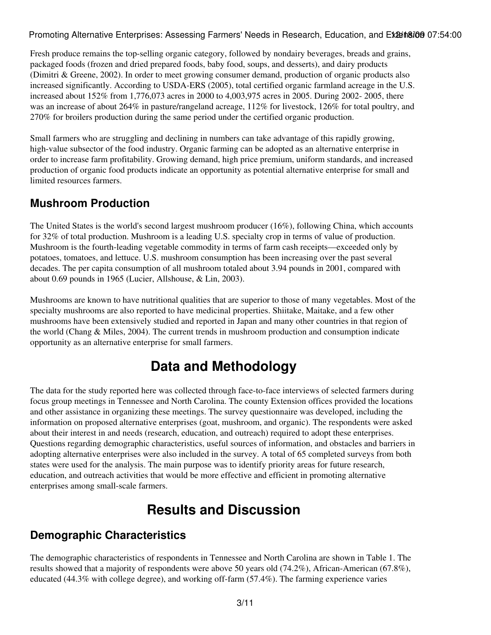Fresh produce remains the top-selling organic category, followed by nondairy beverages, breads and grains, packaged foods (frozen and dried prepared foods, baby food, soups, and desserts), and dairy products (Dimitri & Greene, 2002). In order to meet growing consumer demand, production of organic products also increased significantly. According to USDA-ERS (2005), total certified organic farmland acreage in the U.S. increased about 152% from 1,776,073 acres in 2000 to 4,003,975 acres in 2005. During 2002- 2005, there was an increase of about 264% in pasture/rangeland acreage, 112% for livestock, 126% for total poultry, and 270% for broilers production during the same period under the certified organic production.

Small farmers who are struggling and declining in numbers can take advantage of this rapidly growing, high-value subsector of the food industry. Organic farming can be adopted as an alternative enterprise in order to increase farm profitability. Growing demand, high price premium, uniform standards, and increased production of organic food products indicate an opportunity as potential alternative enterprise for small and limited resources farmers.

### **Mushroom Production**

The United States is the world's second largest mushroom producer (16%), following China, which accounts for 32% of total production. Mushroom is a leading U.S. specialty crop in terms of value of production. Mushroom is the fourth-leading vegetable commodity in terms of farm cash receipts—exceeded only by potatoes, tomatoes, and lettuce. U.S. mushroom consumption has been increasing over the past several decades. The per capita consumption of all mushroom totaled about 3.94 pounds in 2001, compared with about 0.69 pounds in 1965 (Lucier, Allshouse, & Lin, 2003).

Mushrooms are known to have nutritional qualities that are superior to those of many vegetables. Most of the specialty mushrooms are also reported to have medicinal properties. Shiitake, Maitake, and a few other mushrooms have been extensively studied and reported in Japan and many other countries in that region of the world (Chang & Miles, 2004). The current trends in mushroom production and consumption indicate opportunity as an alternative enterprise for small farmers.

## **Data and Methodology**

The data for the study reported here was collected through face-to-face interviews of selected farmers during focus group meetings in Tennessee and North Carolina. The county Extension offices provided the locations and other assistance in organizing these meetings. The survey questionnaire was developed, including the information on proposed alternative enterprises (goat, mushroom, and organic). The respondents were asked about their interest in and needs (research, education, and outreach) required to adopt these enterprises. Questions regarding demographic characteristics, useful sources of information, and obstacles and barriers in adopting alternative enterprises were also included in the survey. A total of 65 completed surveys from both states were used for the analysis. The main purpose was to identify priority areas for future research, education, and outreach activities that would be more effective and efficient in promoting alternative enterprises among small-scale farmers.

## **Results and Discussion**

### **Demographic Characteristics**

The demographic characteristics of respondents in Tennessee and North Carolina are shown in Table 1. The results showed that a majority of respondents were above 50 years old (74.2%), African-American (67.8%), educated (44.3% with college degree), and working off-farm (57.4%). The farming experience varies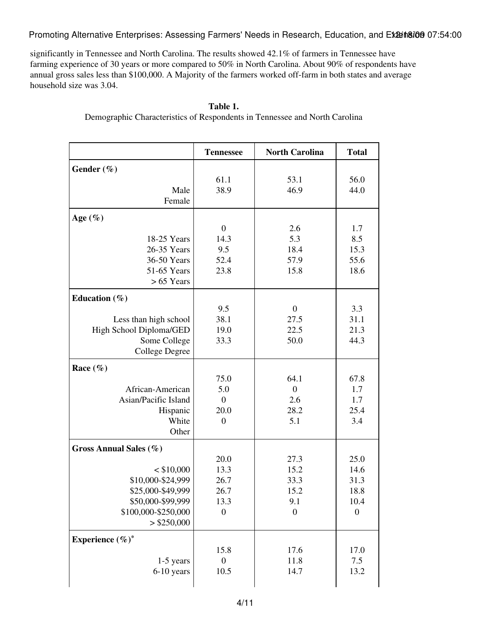significantly in Tennessee and North Carolina. The results showed 42.1% of farmers in Tennessee have farming experience of 30 years or more compared to 50% in North Carolina. About 90% of respondents have annual gross sales less than \$100,000. A Majority of the farmers worked off-farm in both states and average household size was 3.04.

|                         | <b>Tennessee</b> | <b>North Carolina</b> | <b>Total</b>     |
|-------------------------|------------------|-----------------------|------------------|
| Gender $(\%)$           |                  |                       |                  |
|                         | 61.1             | 53.1                  | 56.0             |
| Male                    | 38.9             | 46.9                  | 44.0             |
| Female                  |                  |                       |                  |
| Age $(\%)$              |                  |                       |                  |
|                         | $\boldsymbol{0}$ | 2.6                   | 1.7              |
| 18-25 Years             | 14.3             | 5.3                   | 8.5              |
| 26-35 Years             | 9.5              | 18.4                  | 15.3             |
| 36-50 Years             | 52.4             | 57.9                  | 55.6             |
| 51-65 Years             | 23.8             | 15.8                  | 18.6             |
| $> 65$ Years            |                  |                       |                  |
| Education $(\% )$       |                  |                       |                  |
|                         | 9.5              | $\boldsymbol{0}$      | 3.3              |
| Less than high school   | 38.1             | 27.5                  | 31.1             |
| High School Diploma/GED | 19.0             | 22.5                  | 21.3             |
| Some College            | 33.3             | 50.0                  | 44.3             |
| College Degree          |                  |                       |                  |
| Race $(\%)$             |                  |                       |                  |
|                         | 75.0             | 64.1                  | 67.8             |
| African-American        | 5.0              | $\boldsymbol{0}$      | 1.7              |
| Asian/Pacific Island    | $\mathbf{0}$     | 2.6                   | 1.7              |
| Hispanic                | 20.0             | 28.2                  | 25.4             |
| White                   | $\overline{0}$   | 5.1                   | 3.4              |
| Other                   |                  |                       |                  |
| Gross Annual Sales (%)  |                  |                       |                  |
|                         | 20.0             | 27.3                  | 25.0             |
| $<$ \$10,000            | 13.3             | 15.2                  | 14.6             |
| \$10,000-\$24,999       | 26.7             | 33.3                  | 31.3             |
| \$25,000-\$49,999       | 26.7             | 15.2                  | 18.8             |
| \$50,000-\$99,999       | 13.3             | 9.1                   | 10.4             |
| \$100,000-\$250,000     | $\boldsymbol{0}$ | $\boldsymbol{0}$      | $\boldsymbol{0}$ |
| $>$ \$250,000           |                  |                       |                  |
| Experience $(\%)^*$     |                  |                       |                  |
|                         | 15.8             | 17.6                  | 17.0             |
| 1-5 years               | $\boldsymbol{0}$ | 11.8                  | 7.5              |
| 6-10 years              | 10.5             | 14.7                  | 13.2             |
|                         |                  |                       |                  |

#### **Table 1.**

Demographic Characteristics of Respondents in Tennessee and North Carolina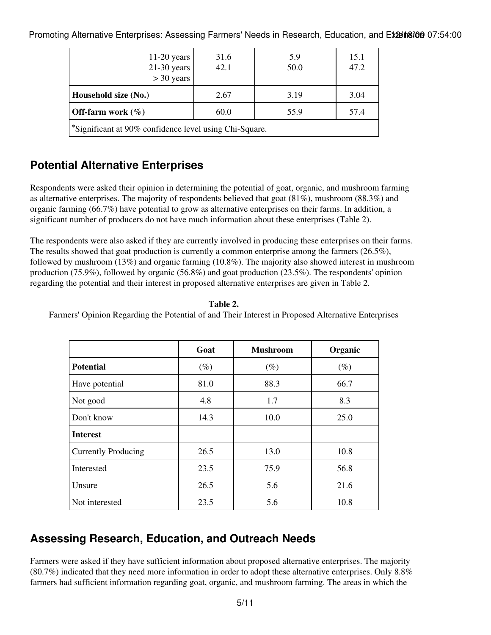| $11-20$ years<br>$21-30$ years<br>$>$ 30 years         | 31.6<br>42.1 | 5.9<br>50.0  | 15.1<br>47.2 |  |  |  |  |
|--------------------------------------------------------|--------------|--------------|--------------|--|--|--|--|
| Household size (No.)                                   | 2.67         | 3.19         | 3.04         |  |  |  |  |
| <b>Off-farm work</b> $(\%)$                            | 60.0         | 57.4<br>55.9 |              |  |  |  |  |
| *Significant at 90% confidence level using Chi-Square. |              |              |              |  |  |  |  |

### **Potential Alternative Enterprises**

Respondents were asked their opinion in determining the potential of goat, organic, and mushroom farming as alternative enterprises. The majority of respondents believed that goat (81%), mushroom (88.3%) and organic farming (66.7%) have potential to grow as alternative enterprises on their farms. In addition, a significant number of producers do not have much information about these enterprises (Table 2).

The respondents were also asked if they are currently involved in producing these enterprises on their farms. The results showed that goat production is currently a common enterprise among the farmers (26.5%), followed by mushroom (13%) and organic farming (10.8%). The majority also showed interest in mushroom production (75.9%), followed by organic (56.8%) and goat production (23.5%). The respondents' opinion regarding the potential and their interest in proposed alternative enterprises are given in Table 2.

| anı<br>٦. |  |
|-----------|--|
|-----------|--|

Farmers' Opinion Regarding the Potential of and Their Interest in Proposed Alternative Enterprises

|                            | Goat   | <b>Mushroom</b> | Organic |
|----------------------------|--------|-----------------|---------|
| <b>Potential</b>           | $(\%)$ | $(\%)$          | $(\%)$  |
| Have potential             | 81.0   | 88.3            | 66.7    |
| Not good                   | 4.8    | 1.7             | 8.3     |
| Don't know                 | 14.3   | 10.0            | 25.0    |
| <b>Interest</b>            |        |                 |         |
| <b>Currently Producing</b> | 26.5   | 13.0            | 10.8    |
| Interested                 | 23.5   | 75.9            | 56.8    |
| Unsure                     | 26.5   | 5.6             | 21.6    |
| Not interested             | 23.5   | 5.6             | 10.8    |

### **Assessing Research, Education, and Outreach Needs**

Farmers were asked if they have sufficient information about proposed alternative enterprises. The majority (80.7%) indicated that they need more information in order to adopt these alternative enterprises. Only 8.8% farmers had sufficient information regarding goat, organic, and mushroom farming. The areas in which the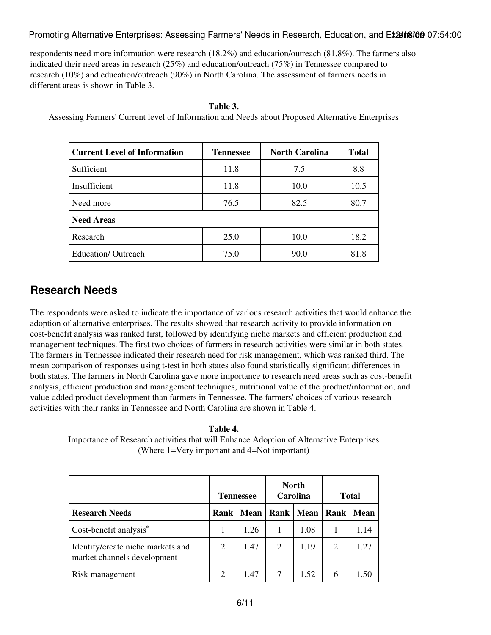respondents need more information were research (18.2%) and education/outreach (81.8%). The farmers also indicated their need areas in research (25%) and education/outreach (75%) in Tennessee compared to research (10%) and education/outreach (90%) in North Carolina. The assessment of farmers needs in different areas is shown in Table 3.

| <b>Current Level of Information</b> | <b>Tennessee</b> | <b>North Carolina</b> | <b>Total</b> |
|-------------------------------------|------------------|-----------------------|--------------|
| Sufficient                          | 11.8             | 7.5                   | 8.8          |
| Insufficient                        | 11.8             | 10.0                  | 10.5         |
| Need more                           | 76.5             | 82.5                  | 80.7         |
| <b>Need Areas</b>                   |                  |                       |              |
| Research                            | 25.0             | 10.0                  | 18.2         |
| <b>Education/ Outreach</b>          | 75.0             | 90.0                  | 81.8         |

#### **Table 3.**

Assessing Farmers' Current level of Information and Needs about Proposed Alternative Enterprises

### **Research Needs**

The respondents were asked to indicate the importance of various research activities that would enhance the adoption of alternative enterprises. The results showed that research activity to provide information on cost-benefit analysis was ranked first, followed by identifying niche markets and efficient production and management techniques. The first two choices of farmers in research activities were similar in both states. The farmers in Tennessee indicated their research need for risk management, which was ranked third. The mean comparison of responses using t-test in both states also found statistically significant differences in both states. The farmers in North Carolina gave more importance to research need areas such as cost-benefit analysis, efficient production and management techniques, nutritional value of the product/information, and value-added product development than farmers in Tennessee. The farmers' choices of various research activities with their ranks in Tennessee and North Carolina are shown in Table 4.

**Table 4.**

Importance of Research activities that will Enhance Adoption of Alternative Enterprises (Where 1=Very important and 4=Not important)

|                                                                  |        | <b>Tennessee</b> | <b>North</b><br>Carolina |             | <b>Total</b>   |             |
|------------------------------------------------------------------|--------|------------------|--------------------------|-------------|----------------|-------------|
| <b>Research Needs</b>                                            | Rank I | Mean             |                          | Rank   Mean | Rank           | <b>Mean</b> |
| Cost-benefit analysis*                                           |        | 1.26             |                          | 1.08        |                | 1.14        |
| Identify/create niche markets and<br>market channels development | 2      | 1.47             | 2                        | 1.19        | $\overline{2}$ | 1.27        |
| Risk management                                                  |        | 1.47             |                          | 1.52        | 6              | l 50        |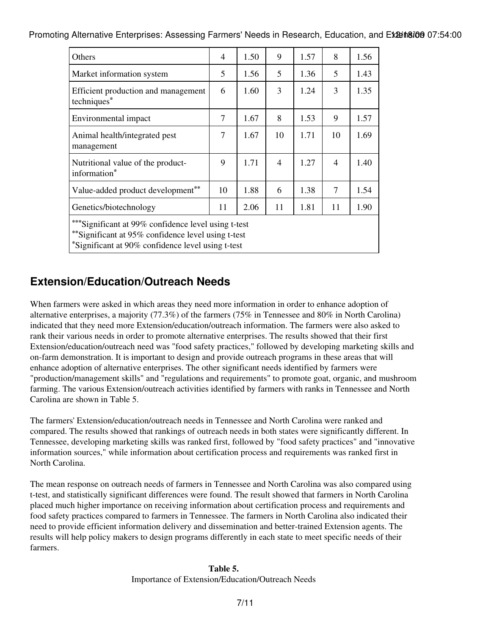| <b>Others</b>                                                                                               | 4  | 1.50 | 9              | 1.57 | 8  | 1.56 |
|-------------------------------------------------------------------------------------------------------------|----|------|----------------|------|----|------|
| Market information system                                                                                   | 5  | 1.56 | 5              | 1.36 | 5  | 1.43 |
| Efficient production and management<br>techniques*                                                          | 6  | 1.60 | 3              | 1.24 | 3  | 1.35 |
| Environmental impact                                                                                        | 7  | 1.67 | 8              | 1.53 | 9  | 1.57 |
| Animal health/integrated pest<br>management                                                                 | 7  | 1.67 | 10             | 1.71 | 10 | 1.69 |
| Nutritional value of the product-<br>information*                                                           | 9  | 1.71 | $\overline{4}$ | 1.27 | 4  | 1.40 |
| Value-added product development**                                                                           | 10 | 1.88 | 6              | 1.38 | 7  | 1.54 |
| Genetics/biotechnology                                                                                      | 11 | 2.06 | 11             | 1.81 | 11 | 1.90 |
| *** Significant at 99% confidence level using t-test<br>** Significant at 95% confidence level using t-test |    |      |                |      |    |      |

**\***Significant at 90% confidence level using t-test

### **Extension/Education/Outreach Needs**

When farmers were asked in which areas they need more information in order to enhance adoption of alternative enterprises, a majority (77.3%) of the farmers (75% in Tennessee and 80% in North Carolina) indicated that they need more Extension/education/outreach information. The farmers were also asked to rank their various needs in order to promote alternative enterprises. The results showed that their first Extension/education/outreach need was "food safety practices," followed by developing marketing skills and on-farm demonstration. It is important to design and provide outreach programs in these areas that will enhance adoption of alternative enterprises. The other significant needs identified by farmers were "production/management skills" and "regulations and requirements" to promote goat, organic, and mushroom farming. The various Extension/outreach activities identified by farmers with ranks in Tennessee and North Carolina are shown in Table 5.

The farmers' Extension/education/outreach needs in Tennessee and North Carolina were ranked and compared. The results showed that rankings of outreach needs in both states were significantly different. In Tennessee, developing marketing skills was ranked first, followed by "food safety practices" and "innovative information sources," while information about certification process and requirements was ranked first in North Carolina.

The mean response on outreach needs of farmers in Tennessee and North Carolina was also compared using t-test, and statistically significant differences were found. The result showed that farmers in North Carolina placed much higher importance on receiving information about certification process and requirements and food safety practices compared to farmers in Tennessee. The farmers in North Carolina also indicated their need to provide efficient information delivery and dissemination and better-trained Extension agents. The results will help policy makers to design programs differently in each state to meet specific needs of their farmers.

#### **Table 5.** Importance of Extension/Education/Outreach Needs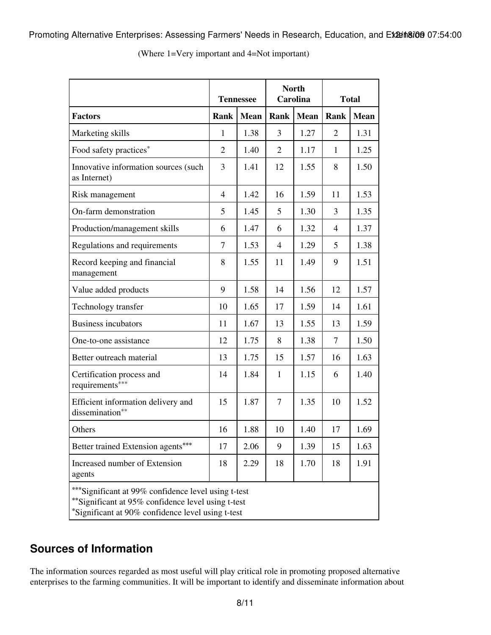|                                                                                                                                                                | <b>Tennessee</b> |             | <b>North</b><br><b>Carolina</b> |             | <b>Total</b>   |             |
|----------------------------------------------------------------------------------------------------------------------------------------------------------------|------------------|-------------|---------------------------------|-------------|----------------|-------------|
| <b>Factors</b>                                                                                                                                                 | Rank             | <b>Mean</b> | Rank                            | <b>Mean</b> | Rank           | <b>Mean</b> |
| Marketing skills                                                                                                                                               | $\mathbf{1}$     | 1.38        | 3                               | 1.27        | $\overline{2}$ | 1.31        |
| Food safety practices*                                                                                                                                         | $\overline{2}$   | 1.40        | $\overline{2}$                  | 1.17        | 1              | 1.25        |
| Innovative information sources (such<br>as Internet)                                                                                                           | 3                | 1.41        | 12                              | 1.55        | 8              | 1.50        |
| Risk management                                                                                                                                                | $\overline{4}$   | 1.42        | 16                              | 1.59        | 11             | 1.53        |
| On-farm demonstration                                                                                                                                          | 5                | 1.45        | 5                               | 1.30        | 3              | 1.35        |
| Production/management skills                                                                                                                                   | 6                | 1.47        | 6                               | 1.32        | $\overline{4}$ | 1.37        |
| Regulations and requirements                                                                                                                                   | 7                | 1.53        | 4                               | 1.29        | 5              | 1.38        |
| Record keeping and financial<br>management                                                                                                                     | 8                | 1.55        | 11                              | 1.49        | 9              | 1.51        |
| Value added products                                                                                                                                           | 9                | 1.58        | 14                              | 1.56        | 12             | 1.57        |
| Technology transfer                                                                                                                                            | 10               | 1.65        | 17                              | 1.59        | 14             | 1.61        |
| <b>Business incubators</b>                                                                                                                                     | 11               | 1.67        | 13                              | 1.55        | 13             | 1.59        |
| One-to-one assistance                                                                                                                                          | 12               | 1.75        | 8                               | 1.38        | 7              | 1.50        |
| Better outreach material                                                                                                                                       | 13               | 1.75        | 15                              | 1.57        | 16             | 1.63        |
| Certification process and<br>requirements***                                                                                                                   | 14               | 1.84        | $\mathbf{1}$                    | 1.15        | 6              | 1.40        |
| Efficient information delivery and<br>dissemination**                                                                                                          | 15               | 1.87        | $\overline{7}$                  | 1.35        | 10             | 1.52        |
| Others                                                                                                                                                         | 16               | 1.88        | 10                              | 1.40        | 17             | 1.69        |
| Better trained Extension agents***                                                                                                                             | 17               | 2.06        | 9                               | 1.39        | 15             | 1.63        |
| Increased number of Extension<br>agents                                                                                                                        | 18               | 2.29        | 18                              | 1.70        | 18             | 1.91        |
| ***Significant at 99% confidence level using t-test<br>**Significant at 95% confidence level using t-test<br>*Significant at 90% confidence level using t-test |                  |             |                                 |             |                |             |

(Where 1=Very important and 4=Not important)

### **Sources of Information**

The information sources regarded as most useful will play critical role in promoting proposed alternative enterprises to the farming communities. It will be important to identify and disseminate information about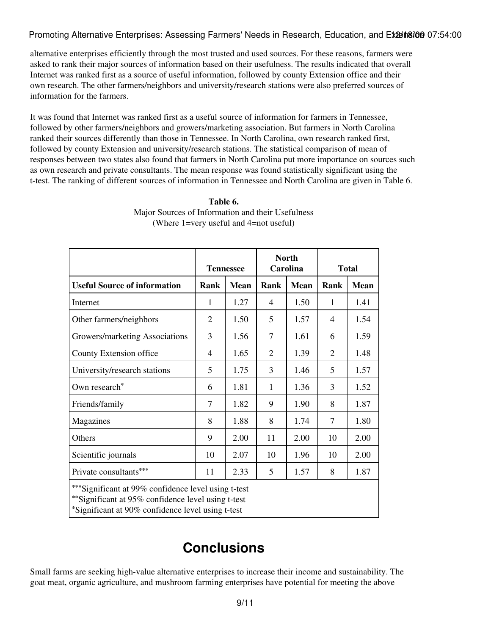alternative enterprises efficiently through the most trusted and used sources. For these reasons, farmers were asked to rank their major sources of information based on their usefulness. The results indicated that overall Internet was ranked first as a source of useful information, followed by county Extension office and their own research. The other farmers/neighbors and university/research stations were also preferred sources of information for the farmers.

It was found that Internet was ranked first as a useful source of information for farmers in Tennessee, followed by other farmers/neighbors and growers/marketing association. But farmers in North Carolina ranked their sources differently than those in Tennessee. In North Carolina, own research ranked first, followed by county Extension and university/research stations. The statistical comparison of mean of responses between two states also found that farmers in North Carolina put more importance on sources such as own research and private consultants. The mean response was found statistically significant using the t-test. The ranking of different sources of information in Tennessee and North Carolina are given in Table 6.

|                                                                                                                                                                  |                | <b>Tennessee</b> | <b>North</b><br>Carolina |             | <b>Total</b>   |             |  |  |
|------------------------------------------------------------------------------------------------------------------------------------------------------------------|----------------|------------------|--------------------------|-------------|----------------|-------------|--|--|
| <b>Useful Source of information</b>                                                                                                                              | <b>Rank</b>    | <b>Mean</b>      | <b>Rank</b>              | <b>Mean</b> | Rank           | <b>Mean</b> |  |  |
| Internet                                                                                                                                                         | 1              | 1.27             | 4                        | 1.50        | $\mathbf{1}$   | 1.41        |  |  |
| Other farmers/neighbors                                                                                                                                          | $\overline{2}$ | 1.50             | 5                        | 1.57        | 4              | 1.54        |  |  |
| Growers/marketing Associations                                                                                                                                   | 3              | 1.56             | $\overline{7}$           | 1.61        | 6              | 1.59        |  |  |
| County Extension office                                                                                                                                          | 4              | 1.65             | $\overline{2}$           | 1.39        | $\overline{2}$ | 1.48        |  |  |
| University/research stations                                                                                                                                     | 5              | 1.75             | 3                        | 1.46        | 5              | 1.57        |  |  |
| Own research*                                                                                                                                                    | 6              | 1.81             | $\mathbf{1}$             | 1.36        | 3              | 1.52        |  |  |
| Friends/family                                                                                                                                                   | 7              | 1.82             | 9                        | 1.90        | 8              | 1.87        |  |  |
| Magazines                                                                                                                                                        | 8              | 1.88             | 8                        | 1.74        | $\overline{7}$ | 1.80        |  |  |
| Others                                                                                                                                                           | 9              | 2.00             | 11                       | 2.00        | 10             | 2.00        |  |  |
| Scientific journals                                                                                                                                              | 10             | 2.07             | 10                       | 1.96        | 10             | 2.00        |  |  |
| Private consultants***                                                                                                                                           | 11             | 2.33             | 5                        | 1.57        | 8              | 1.87        |  |  |
| *** Significant at 99% confidence level using t-test<br>** Significant at 95% confidence level using t-test<br>*Significant at 90% confidence level using t-test |                |                  |                          |             |                |             |  |  |

**Table 6.** Major Sources of Information and their Usefulness (Where 1=very useful and 4=not useful)

## **Conclusions**

Small farms are seeking high-value alternative enterprises to increase their income and sustainability. The goat meat, organic agriculture, and mushroom farming enterprises have potential for meeting the above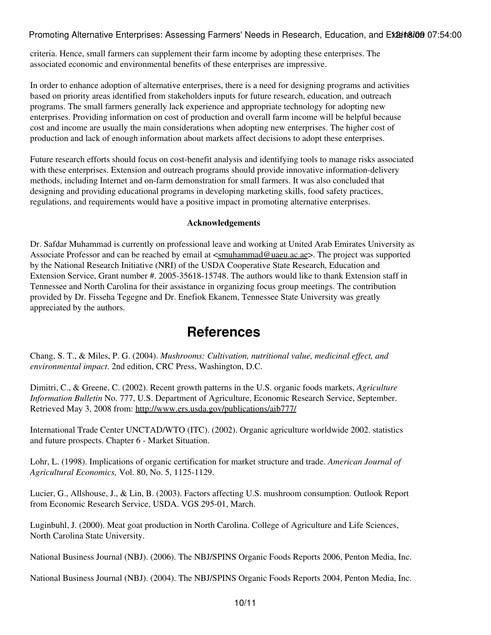criteria. Hence, small farmers can supplement their farm income by adopting these enterprises. The associated economic and environmental benefits of these enterprises are impressive.

In order to enhance adoption of alternative enterprises, there is a need for designing programs and activities based on priority areas identified from stakeholders inputs for future research, education, and outreach programs. The small farmers generally lack experience and appropriate technology for adopting new enterprises. Providing information on cost of production and overall farm income will be helpful because cost and income are usually the main considerations when adopting new enterprises. The higher cost of production and lack of enough information about markets affect decisions to adopt these enterprises.

Future research efforts should focus on cost-benefit analysis and identifying tools to manage risks associated with these enterprises. Extension and outreach programs should provide innovative information-delivery methods, including Internet and on-farm demonstration for small farmers. It was also concluded that designing and providing educational programs in developing marketing skills, food safety practices, regulations, and requirements would have a positive impact in promoting alternative enterprises.

#### **Acknowledgements**

Dr. Safdar Muhammad is currently on professional leave and working at United Arab Emirates University as Associate Professor and can be reached by email at  $\leq$  muhammad@uaeu.ac.ae>. The project was supported by the National Research Initiative (NRI) of the USDA Cooperative State Research, Education and Extension Service, Grant number #. 2005-35618-15748. The authors would like to thank Extension staff in Tennessee and North Carolina for their assistance in organizing focus group meetings. The contribution provided by Dr. Fisseha Tegegne and Dr. Enefiok Ekanem, Tennessee State University was greatly appreciated by the authors.

### **References**

Chang, S. T., & Miles, P. G. (2004). *Mushrooms: Cultivation, nutritional value, medicinal effect, and environmental impact*. 2nd edition, CRC Press, Washington, D.C.

Dimitri, C., & Greene, C. (2002). Recent growth patterns in the U.S. organic foods markets, *Agriculture Information Bulletin* No. 777, U.S. Department of Agriculture, Economic Research Service, September. Retrieved May 3, 2008 from: <http://www.ers.usda.gov/publications/aib777/>

International Trade Center UNCTAD/WTO (ITC). (2002). Organic agriculture worldwide 2002. statistics and future prospects. Chapter 6 - Market Situation.

Lohr, L. (1998). Implications of organic certification for market structure and trade. *American Journal of Agricultural Economics,* Vol. 80, No. 5, 1125-1129.

Lucier, G., Allshouse, J., & Lin, B. (2003). Factors affecting U.S. mushroom consumption. Outlook Report from Economic Research Service, USDA. VGS 295-01, March.

Luginbuhl, J. (2000). Meat goat production in North Carolina. College of Agriculture and Life Sciences, North Carolina State University.

National Business Journal (NBJ). (2006). The NBJ/SPINS Organic Foods Reports 2006, Penton Media, Inc.

National Business Journal (NBJ). (2004). The NBJ/SPINS Organic Foods Reports 2004, Penton Media, Inc.